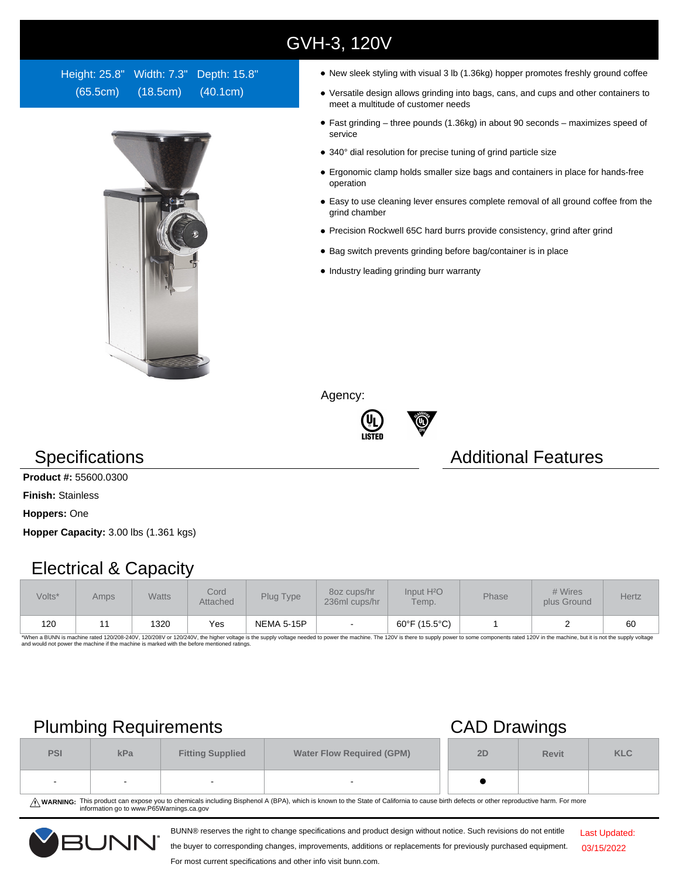# GVH-3, 120V

Height: 25.8" Width: 7.3" Depth: 15.8" (65.5cm) (18.5cm) (40.1cm)



- New sleek styling with visual 3 lb (1.36kg) hopper promotes freshly ground coffee
- Versatile design allows grinding into bags, cans, and cups and other containers to meet a multitude of customer needs
- Fast grinding three pounds (1.36kg) in about 90 seconds maximizes speed of service
- 340° dial resolution for precise tuning of grind particle size
- Ergonomic clamp holds smaller size bags and containers in place for hands-free operation
- Easy to use cleaning lever ensures complete removal of all ground coffee from the grind chamber
- Precision Rockwell 65C hard burrs provide consistency, grind after grind
- Bag switch prevents grinding before bag/container is in place
- Industry leading grinding burr warranty

Agency:



### Specifications **Additional Features** Additional Features

**Product #:** 55600.0300

**Finish:** Stainless

**Hoppers:** One

**Hopper Capacity:** 3.00 lbs (1.361 kgs)

### Electrical & Capacity

| Volts* | Amps | <b>Watts</b> | Cord<br>Attached | Plug Type         | 80z cups/hr<br>236ml cups/hr | Input H <sup>2</sup> O<br>Temp. | <b>Phase</b> | # Wires<br>plus Ground | <b>Hertz</b> |
|--------|------|--------------|------------------|-------------------|------------------------------|---------------------------------|--------------|------------------------|--------------|
| 120    |      | 1320         | Yes              | <b>NEMA 5-15P</b> |                              | 60°F (15.5°C)                   |              |                        | 60           |

\*When a BUNN is machine rated 120/208-240V, 120/208V or 120/240V, the higher voltage is the supply voltage needed to power the machine. The 120V is there to supply power to some components rated 120V in the machine, but it

## Plumbing Requirements CAD Drawings

| $\sim$     |     |                         |                                  |    | $\overline{\phantom{0}}$ |            |  |  |
|------------|-----|-------------------------|----------------------------------|----|--------------------------|------------|--|--|
| <b>PSI</b> | kPa | <b>Fitting Supplied</b> | <b>Water Flow Required (GPM)</b> | 2D | <b>Revit</b>             | <b>KLC</b> |  |  |
| . .        |     |                         |                                  |    |                          |            |  |  |

WARNING: This product can expose you to chemicals including Bisphenol A (BPA), which is known to the State of California to cause birth defects or other reproductive harm. For more<br>information go to www.P65Warnings.ca.gov

BUNN® reserves the right to change specifications and product design without notice. Such revisions do not entitle



the buyer to corresponding changes, improvements, additions or replacements for previously purchased equipment.

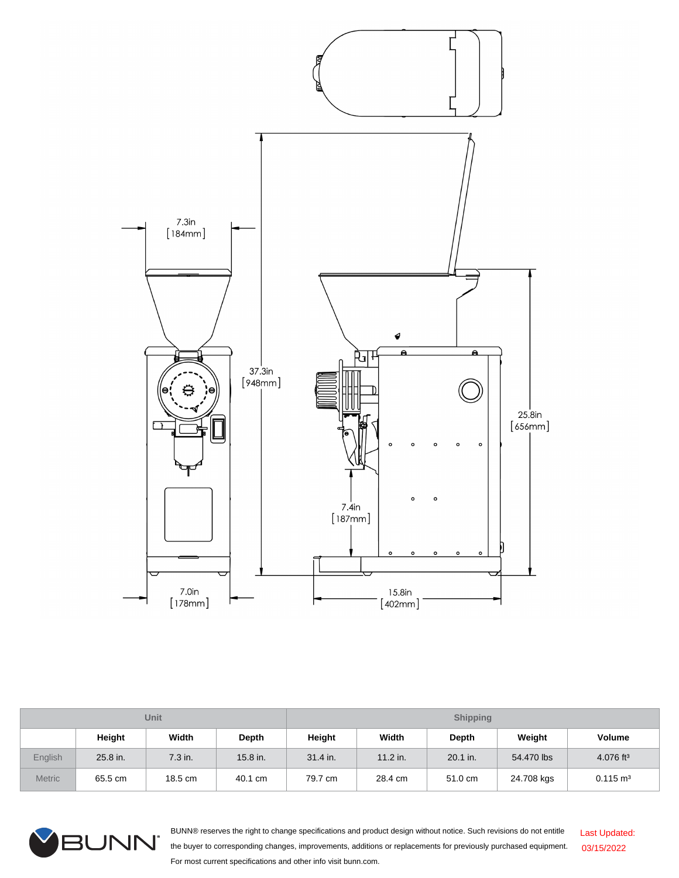

| <b>Unit</b>    |          |         |          | <b>Shipping</b> |            |          |            |                         |
|----------------|----------|---------|----------|-----------------|------------|----------|------------|-------------------------|
|                | Height   | Width   | Depth    | Height          | Width      | Depth    | Weight     | <b>Volume</b>           |
| <b>English</b> | 25.8 in. | 7.3 in. | 15.8 in. | 31.4 in.        | $11.2$ in. | 20.1 in. | 54.470 lbs | $4.076$ ft <sup>3</sup> |
| <b>Metric</b>  | 65.5 cm  | 18.5 cm | 40.1 cm  | 79.7 cm         | 28.4 cm    | 51.0 cm  | 24.708 kgs | $0.115 \text{ m}^3$     |



BUNN® reserves the right to change specifications and product design without notice. Such revisions do not entitle the buyer to corresponding changes, improvements, additions or replacements for previously purchased equipment. For most current specifications and other info visit bunn.com. Last Updated: 03/15/2022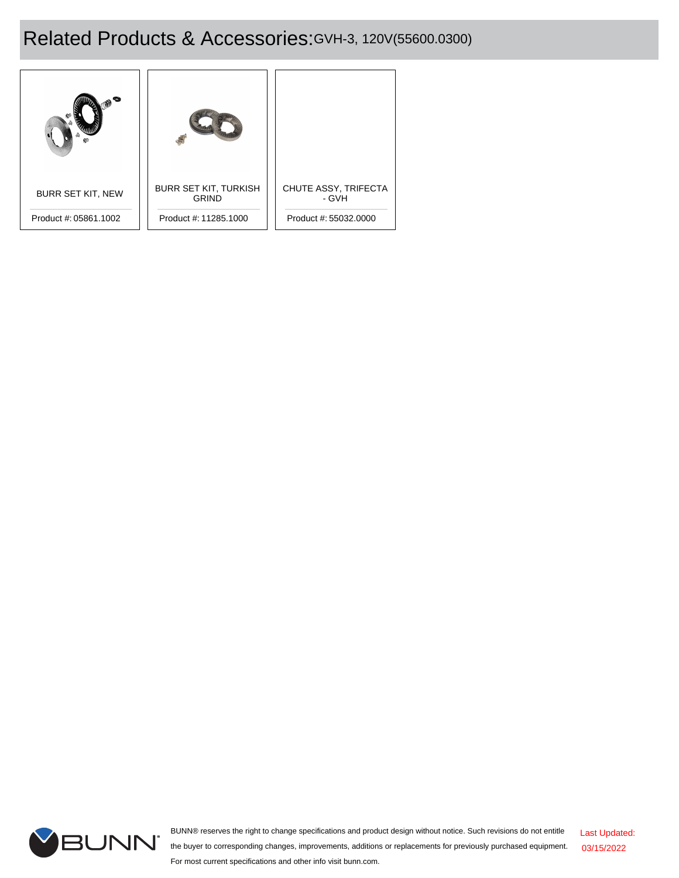# Related Products & Accessories:GVH-3, 120V(55600.0300)